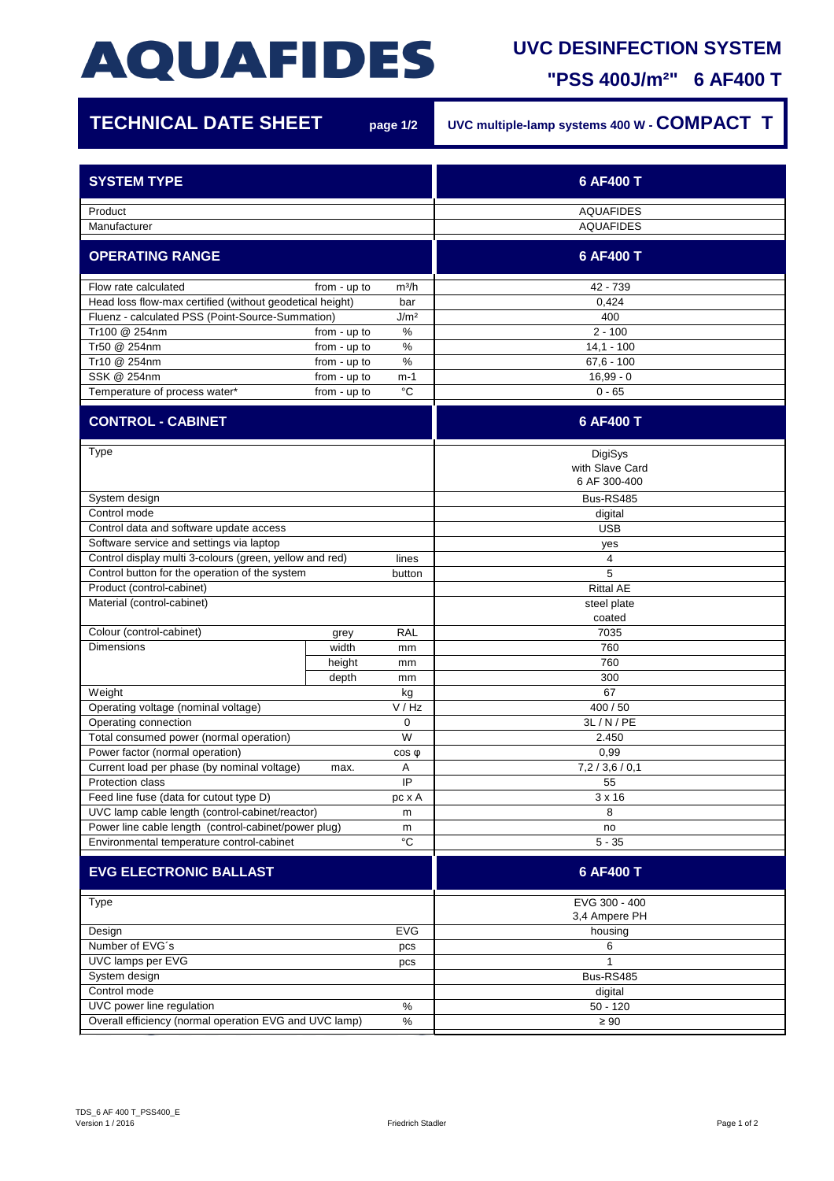## **AQUAFIDES**

## **UVC DESINFECTION SYSTEM**

**"PSS 400J/m²" 6 AF400 T**

| <b>TECHNICAL DATE SHEET</b>                                    |              | page 1/2          | UVC multiple-lamp systems 400 W - COMPACT T |
|----------------------------------------------------------------|--------------|-------------------|---------------------------------------------|
| <b>SYSTEM TYPE</b>                                             |              |                   | 6 AF400 T                                   |
| Product                                                        |              |                   | <b>AQUAFIDES</b>                            |
| Manufacturer                                                   |              |                   | <b>AQUAFIDES</b>                            |
| <b>OPERATING RANGE</b>                                         |              |                   | 6 AF400 T                                   |
| Flow rate calculated                                           | from - up to | m <sup>3</sup> /h | 42 - 739                                    |
| Head loss flow-max certified (without geodetical height)       |              | bar               | 0,424                                       |
| Fluenz - calculated PSS (Point-Source-Summation)               |              | J/m <sup>2</sup>  | 400                                         |
| Tr100 @ 254nm                                                  | from - up to | $\%$              | $2 - 100$                                   |
| Tr50 @ 254nm                                                   | from - up to | %                 | $14,1 - 100$                                |
| Tr10 @ 254nm                                                   | from - up to | $\%$              | $67,6 - 100$                                |
| SSK @ 254nm                                                    | from - up to | m-1               | $16,99 - 0$                                 |
| Temperature of process water*                                  | from - up to | $^{\circ}C$       | $0 - 65$                                    |
| <b>CONTROL - CABINET</b>                                       |              |                   | 6 AF400 T                                   |
| Type                                                           |              |                   | DigiSys<br>with Slave Card                  |
|                                                                |              |                   | 6 AF 300-400                                |
| System design                                                  |              |                   | Bus-RS485                                   |
| Control mode                                                   |              |                   | digital                                     |
| Control data and software update access                        |              |                   | <b>USB</b>                                  |
| Software service and settings via laptop                       |              |                   | yes                                         |
| Control display multi 3-colours (green, yellow and red)        |              | lines             | 4                                           |
| Control button for the operation of the system                 |              | button            | 5                                           |
| Product (control-cabinet)                                      |              |                   | <b>Rittal AE</b>                            |
| Material (control-cabinet)                                     |              |                   | steel plate                                 |
|                                                                |              |                   | coated                                      |
| Colour (control-cabinet)                                       | grey         | <b>RAL</b>        | 7035                                        |
| <b>Dimensions</b>                                              | width        | mm                | 760                                         |
|                                                                | height       | mm                | 760                                         |
|                                                                | depth        | mm                | 300                                         |
| Weight                                                         |              | kg                | 67                                          |
| Operating voltage (nominal voltage)                            |              | V / Hz            | 400 / 50                                    |
| Operating connection                                           |              | 0                 | 3L/N/PE                                     |
| Total consumed power (normal operation)                        |              | W                 | 2.450                                       |
| Power factor (normal operation)                                |              | $cos \phi$        | 0,99                                        |
| Current load per phase (by nominal voltage)                    | max.         | Α                 | 7,2/3,6/0,1                                 |
| Protection class                                               |              | IP                | 55                                          |
| Feed line fuse (data for cutout type D)                        |              | pc x A            | $3 \times 16$                               |
| UVC lamp cable length (control-cabinet/reactor)                |              | m                 | 8                                           |
| Power line cable length (control-cabinet/power plug)<br>m      |              |                   | no                                          |
| Environmental temperature control-cabinet                      |              | $^{\circ}{\rm C}$ | $5 - 35$                                    |
| <b>EVG ELECTRONIC BALLAST</b>                                  |              |                   | 6 AF400 T                                   |
| Type                                                           |              |                   | EVG 300 - 400                               |
|                                                                |              | 3,4 Ampere PH     |                                             |
| Design<br><b>EVG</b><br>Number of EVG's                        |              | housing           |                                             |
| pcs                                                            |              | 6                 |                                             |
| UVC lamps per EVG<br>pcs                                       |              |                   |                                             |
| System design<br>Control mode                                  |              |                   | Bus-RS485                                   |
| UVC power line regulation<br>$\%$                              |              |                   | digital<br>$50 - 120$                       |
|                                                                |              |                   |                                             |
| Overall efficiency (normal operation EVG and UVC lamp)<br>$\%$ |              | $\geq 90$         |                                             |